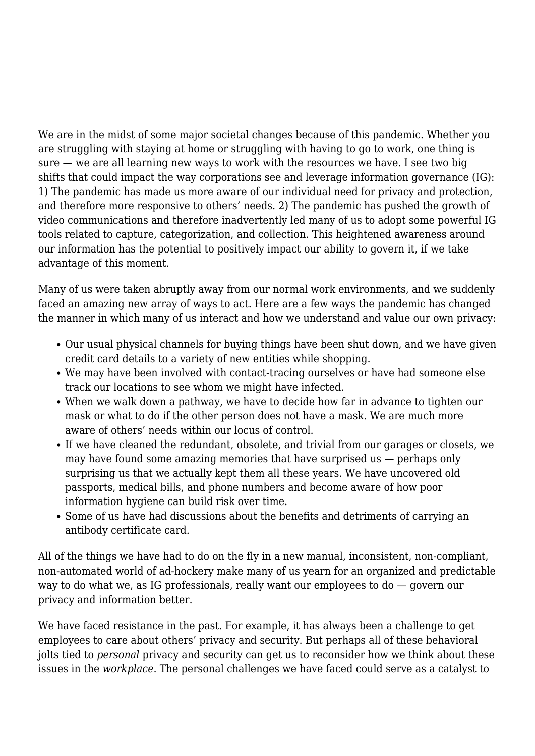We are in the midst of some major societal changes because of this pandemic. Whether you are struggling with staying at home or struggling with having to go to work, one thing is sure — we are all learning new ways to work with the resources we have. I see two big shifts that could impact the way corporations see and leverage information governance (IG): 1) The pandemic has made us more aware of our individual need for privacy and protection, and therefore more responsive to others' needs. 2) The pandemic has pushed the growth of video communications and therefore inadvertently led many of us to adopt some powerful IG tools related to capture, categorization, and collection. This heightened awareness around our information has the potential to positively impact our ability to govern it, if we take advantage of this moment.

Many of us were taken abruptly away from our normal work environments, and we suddenly faced an amazing new array of ways to act. Here are a few ways the pandemic has changed the manner in which many of us interact and how we understand and value our own privacy:

- Our usual physical channels for buying things have been shut down, and we have given credit card details to a variety of new entities while shopping.
- We may have been involved with contact-tracing ourselves or have had someone else track our locations to see whom we might have infected.
- When we walk down a pathway, we have to decide how far in advance to tighten our mask or what to do if the other person does not have a mask. We are much more aware of others' needs within our locus of control.
- If we have cleaned the redundant, obsolete, and trivial from our garages or closets, we may have found some amazing memories that have surprised us — perhaps only surprising us that we actually kept them all these years. We have uncovered old passports, medical bills, and phone numbers and become aware of how poor information hygiene can build risk over time.
- Some of us have had discussions about the benefits and detriments of carrying an antibody certificate card.

All of the things we have had to do on the fly in a new manual, inconsistent, non-compliant, non-automated world of ad-hockery make many of us yearn for an organized and predictable way to do what we, as IG professionals, really want our employees to do — govern our privacy and information better.

We have faced resistance in the past. For example, it has always been a challenge to get employees to care about others' privacy and security. But perhaps all of these behavioral jolts tied to *personal* privacy and security can get us to reconsider how we think about these issues in the *workplace*. The personal challenges we have faced could serve as a catalyst to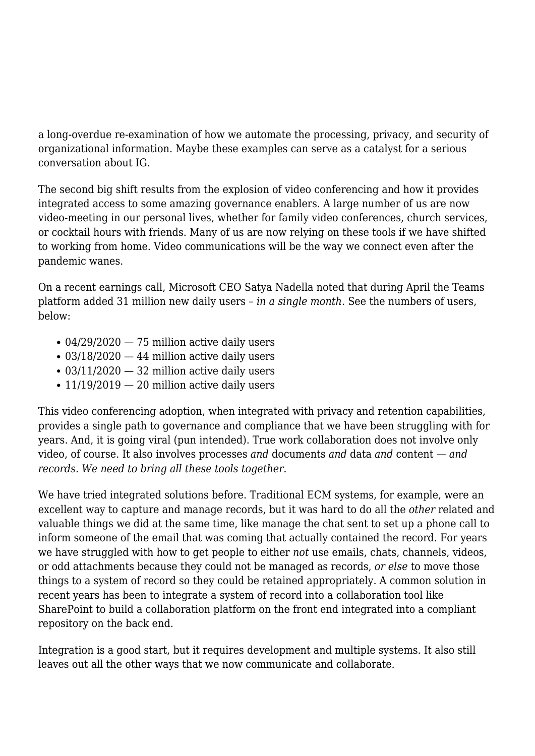a long-overdue re-examination of how we automate the processing, privacy, and security of organizational information. Maybe these examples can serve as a catalyst for a serious conversation about IG.

The second big shift results from the explosion of video conferencing and how it provides integrated access to some amazing governance enablers. A large number of us are now video-meeting in our personal lives, whether for family video conferences, church services, or cocktail hours with friends. Many of us are now relying on these tools if we have shifted to working from home. Video communications will be the way we connect even after the pandemic wanes.

On a recent earnings call, Microsoft CEO Satya Nadella noted that during April the Teams platform added 31 million new daily users – *in a single month*. See the numbers of users, below:

- $\cdot$  04/29/2020  $-$  75 million active daily users
- $\cdot$  03/18/2020  $-$  44 million active daily users
- $\cdot$  03/11/2020  $-$  32 million active daily users
- $\cdot$  11/19/2019  $-$  20 million active daily users

This video conferencing adoption, when integrated with privacy and retention capabilities, provides a single path to governance and compliance that we have been struggling with for years. And, it is going viral (pun intended). True work collaboration does not involve only video, of course. It also involves processes *and* documents *and* data *and* content — *and records. We need to bring all these tools together.*

We have tried integrated solutions before. Traditional ECM systems, for example, were an excellent way to capture and manage records, but it was hard to do all the *other* related and valuable things we did at the same time, like manage the chat sent to set up a phone call to inform someone of the email that was coming that actually contained the record. For years we have struggled with how to get people to either *not* use emails, chats, channels, videos, or odd attachments because they could not be managed as records, *or else* to move those things to a system of record so they could be retained appropriately. A common solution in recent years has been to integrate a system of record into a collaboration tool like SharePoint to build a collaboration platform on the front end integrated into a compliant repository on the back end.

Integration is a good start, but it requires development and multiple systems. It also still leaves out all the other ways that we now communicate and collaborate.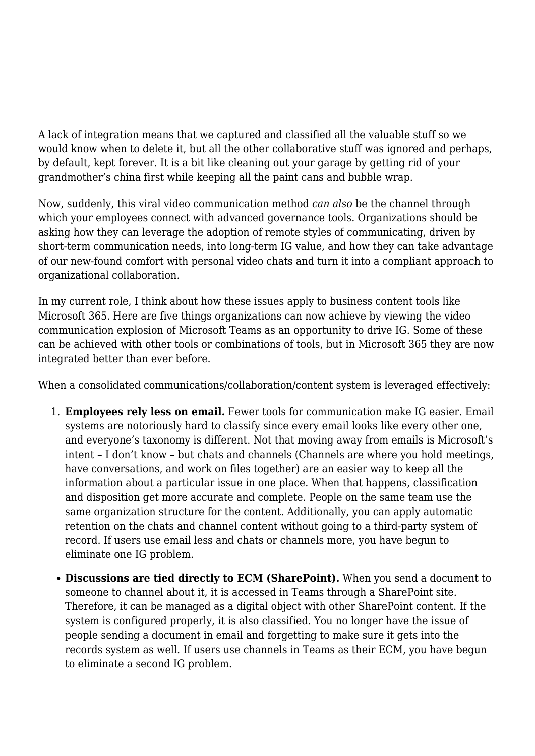A lack of integration means that we captured and classified all the valuable stuff so we would know when to delete it, but all the other collaborative stuff was ignored and perhaps, by default, kept forever. It is a bit like cleaning out your garage by getting rid of your grandmother's china first while keeping all the paint cans and bubble wrap.

Now, suddenly, this viral video communication method *can also* be the channel through which your employees connect with advanced governance tools. Organizations should be asking how they can leverage the adoption of remote styles of communicating, driven by short-term communication needs, into long-term IG value, and how they can take advantage of our new-found comfort with personal video chats and turn it into a compliant approach to organizational collaboration.

In my current role, I think about how these issues apply to business content tools like Microsoft 365. Here are five things organizations can now achieve by viewing the video communication explosion of Microsoft Teams as an opportunity to drive IG. Some of these can be achieved with other tools or combinations of tools, but in Microsoft 365 they are now integrated better than ever before.

When a consolidated communications/collaboration/content system is leveraged effectively:

- 1. **Employees rely less on email.** Fewer tools for communication make IG easier. Email systems are notoriously hard to classify since every email looks like every other one, and everyone's taxonomy is different. Not that moving away from emails is Microsoft's intent – I don't know – but chats and channels (Channels are where you hold meetings, have conversations, and work on files together) are an easier way to keep all the information about a particular issue in one place. When that happens, classification and disposition get more accurate and complete. People on the same team use the same organization structure for the content. Additionally, you can apply automatic retention on the chats and channel content without going to a third-party system of record. If users use email less and chats or channels more, you have begun to eliminate one IG problem.
	- **Discussions are tied directly to ECM (SharePoint).** When you send a document to someone to channel about it, it is accessed in Teams through a SharePoint site. Therefore, it can be managed as a digital object with other SharePoint content. If the system is configured properly, it is also classified. You no longer have the issue of people sending a document in email and forgetting to make sure it gets into the records system as well. If users use channels in Teams as their ECM, you have begun to eliminate a second IG problem.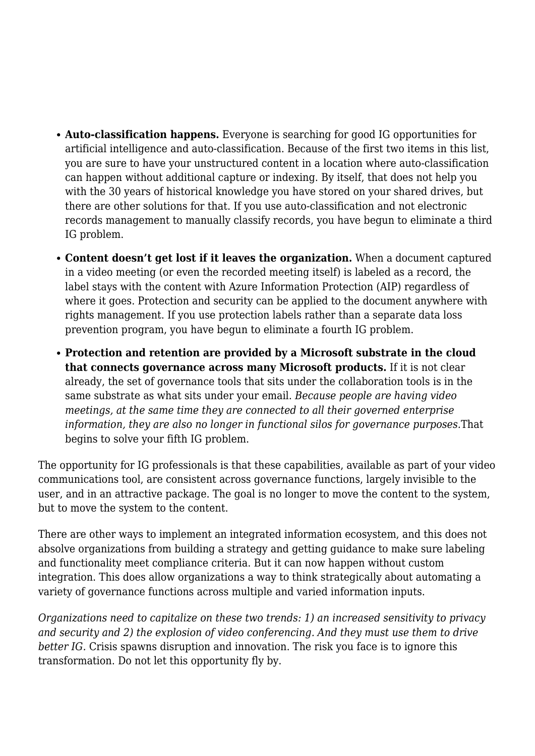- **Auto-classification happens.** Everyone is searching for good IG opportunities for artificial intelligence and auto-classification. Because of the first two items in this list, you are sure to have your unstructured content in a location where auto-classification can happen without additional capture or indexing. By itself, that does not help you with the 30 years of historical knowledge you have stored on your shared drives, but there are other solutions for that. If you use auto-classification and not electronic records management to manually classify records, you have begun to eliminate a third IG problem.
- **Content doesn't get lost if it leaves the organization.** When a document captured in a video meeting (or even the recorded meeting itself) is labeled as a record, the label stays with the content with Azure Information Protection (AIP) regardless of where it goes. Protection and security can be applied to the document anywhere with rights management. If you use protection labels rather than a separate data loss prevention program, you have begun to eliminate a fourth IG problem.
- **Protection and retention are provided by a Microsoft substrate in the cloud that connects governance across many Microsoft products.** If it is not clear already, the set of governance tools that sits under the collaboration tools is in the same substrate as what sits under your email. *Because people are having video meetings, at the same time they are connected to all their governed enterprise information, they are also no longer in functional silos for governance purposes.*That begins to solve your fifth IG problem.

The opportunity for IG professionals is that these capabilities, available as part of your video communications tool, are consistent across governance functions, largely invisible to the user, and in an attractive package. The goal is no longer to move the content to the system, but to move the system to the content.

There are other ways to implement an integrated information ecosystem, and this does not absolve organizations from building a strategy and getting guidance to make sure labeling and functionality meet compliance criteria. But it can now happen without custom integration. This does allow organizations a way to think strategically about automating a variety of governance functions across multiple and varied information inputs.

*Organizations need to capitalize on these two trends: 1) an increased sensitivity to privacy and security and 2) the explosion of video conferencing. And they must use them to drive better IG.* Crisis spawns disruption and innovation. The risk you face is to ignore this transformation. Do not let this opportunity fly by.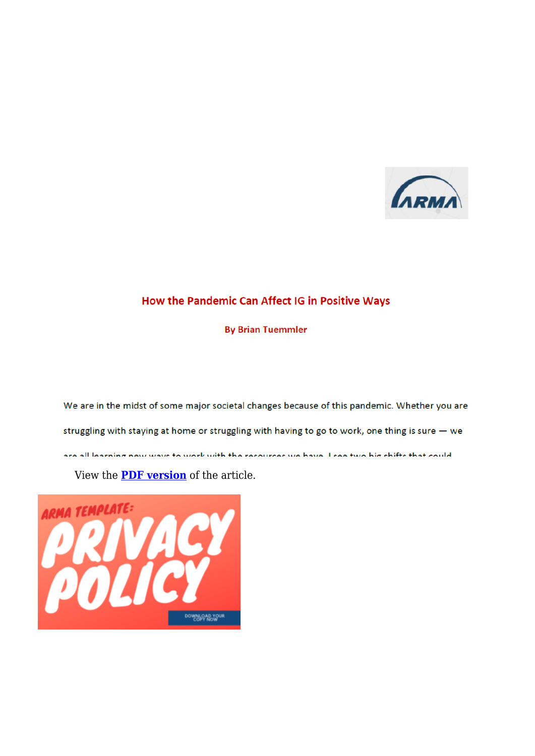

### How the Pandemic Can Affect IG in Positive Ways

**By Brian Tuemmler** 

We are in the midst of some major societal changes because of this pandemic. Whether you are struggling with staying at home or struggling with having to go to work, one thing is sure  $-$  we are all learning new wave to work with the recourses we have I see two hig shifts that could

View the **[PDF version](https://magazine.arma.org/wp-content/uploads/2020/08/Tuemmler-IG-Pandemic-1.pdf)** of the article.

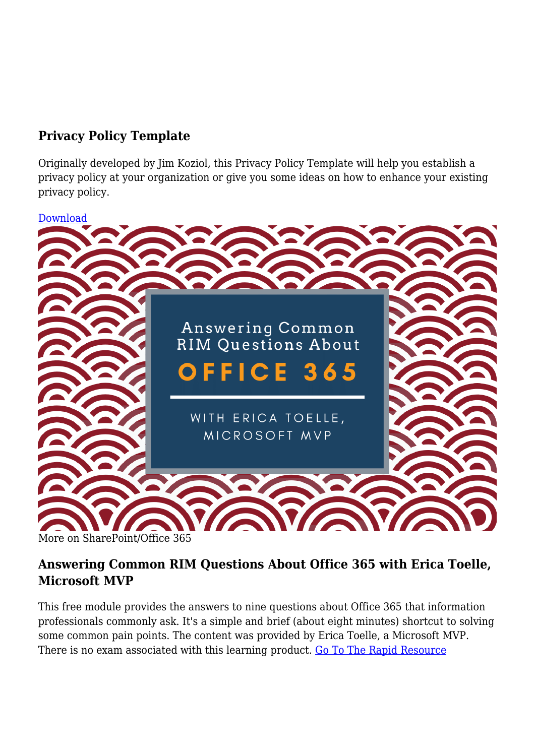## **Privacy Policy Template**

Originally developed by Jim Koziol, this Privacy Policy Template will help you establish a privacy policy at your organization or give you some ideas on how to enhance your existing privacy policy.





## **Answering Common RIM Questions About Office 365 with Erica Toelle, Microsoft MVP**

This free module provides the answers to nine questions about Office 365 that information professionals commonly ask. It's a simple and brief (about eight minutes) shortcut to solving some common pain points. The content was provided by Erica Toelle, a Microsoft MVP. There is no exam associated with this learning product. [Go To The Rapid Resource](https://armai.informz.net/ARMAI/pages/RRM_Office_365)